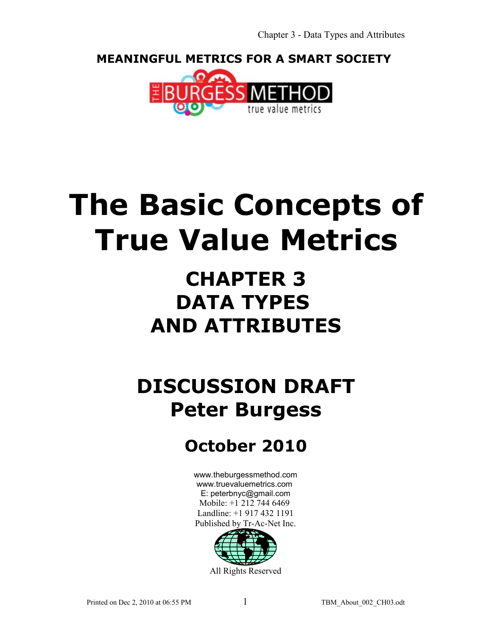**MEANINGFUL METRICS FOR A SMART SOCIETY** 



# **The Basic Concepts of True Value Metrics**

## **CHAPTER 3 DATA TYPES AND ATTRIBUTES**

## **DISCUSSION DRAFT Peter Burgess**

### **October 2010**

[www.theburgessmethod.com](http://www.theburgessmethod.com/) [www.truevaluemetrics.com](http://www.tr-ac-net.org/) E: peterbnyc@gmail.com Mobile: +1 212 744 6469 Landline: +1 917 432 1191 Published by Tr-Ac-Net Inc.

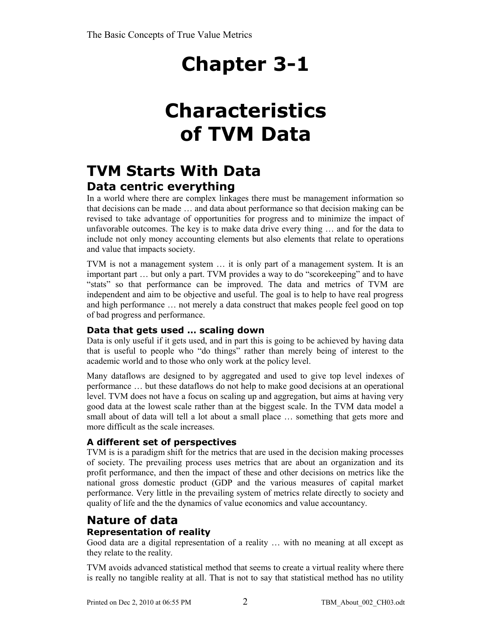## **Characteristics of TVM Data**

### **TVM Starts With Data Data centric everything**

In a world where there are complex linkages there must be management information so that decisions can be made … and data about performance so that decision making can be revised to take advantage of opportunities for progress and to minimize the impact of unfavorable outcomes. The key is to make data drive every thing … and for the data to include not only money accounting elements but also elements that relate to operations and value that impacts society.

TVM is not a management system … it is only part of a management system. It is an important part … but only a part. TVM provides a way to do "scorekeeping" and to have "stats" so that performance can be improved. The data and metrics of TVM are independent and aim to be objective and useful. The goal is to help to have real progress and high performance … not merely a data construct that makes people feel good on top of bad progress and performance.

#### **Data that gets used … scaling down**

Data is only useful if it gets used, and in part this is going to be achieved by having data that is useful to people who "do things" rather than merely being of interest to the academic world and to those who only work at the policy level.

Many dataflows are designed to by aggregated and used to give top level indexes of performance … but these dataflows do not help to make good decisions at an operational level. TVM does not have a focus on scaling up and aggregation, but aims at having very good data at the lowest scale rather than at the biggest scale. In the TVM data model a small about of data will tell a lot about a small place … something that gets more and more difficult as the scale increases.

#### **A different set of perspectives**

TVM is is a paradigm shift for the metrics that are used in the decision making processes of society. The prevailing process uses metrics that are about an organization and its profit performance, and then the impact of these and other decisions on metrics like the national gross domestic product (GDP and the various measures of capital market performance. Very little in the prevailing system of metrics relate directly to society and quality of life and the the dynamics of value economics and value accountancy.

### **Nature of data**

#### **Representation of reality**

Good data are a digital representation of a reality … with no meaning at all except as they relate to the reality.

TVM avoids advanced statistical method that seems to create a virtual reality where there is really no tangible reality at all. That is not to say that statistical method has no utility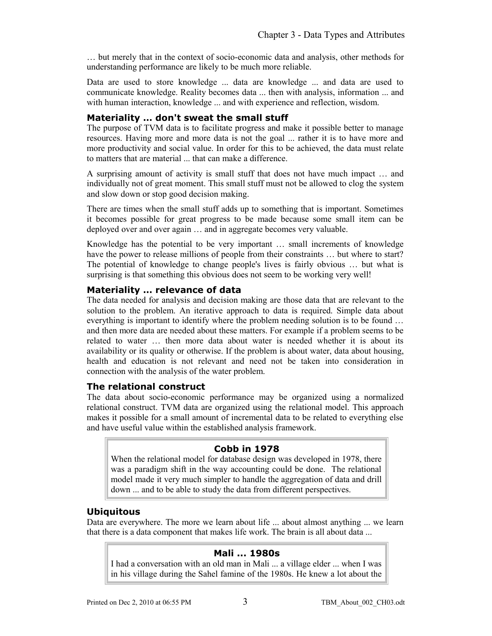… but merely that in the context of socio-economic data and analysis, other methods for understanding performance are likely to be much more reliable.

Data are used to store knowledge ... data are knowledge ... and data are used to communicate knowledge. Reality becomes data ... then with analysis, information ... and with human interaction, knowledge ... and with experience and reflection, wisdom.

#### **Materiality … don't sweat the small stuff**

The purpose of TVM data is to facilitate progress and make it possible better to manage resources. Having more and more data is not the goal ... rather it is to have more and more productivity and social value. In order for this to be achieved, the data must relate to matters that are material ... that can make a difference.

A surprising amount of activity is small stuff that does not have much impact … and individually not of great moment. This small stuff must not be allowed to clog the system and slow down or stop good decision making.

There are times when the small stuff adds up to something that is important. Sometimes it becomes possible for great progress to be made because some small item can be deployed over and over again … and in aggregate becomes very valuable.

Knowledge has the potential to be very important … small increments of knowledge have the power to release millions of people from their constraints ... but where to start? The potential of knowledge to change people's lives is fairly obvious … but what is surprising is that something this obvious does not seem to be working very well!

#### **Materiality … relevance of data**

The data needed for analysis and decision making are those data that are relevant to the solution to the problem. An iterative approach to data is required. Simple data about everything is important to identify where the problem needing solution is to be found … and then more data are needed about these matters. For example if a problem seems to be related to water … then more data about water is needed whether it is about its availability or its quality or otherwise. If the problem is about water, data about housing, health and education is not relevant and need not be taken into consideration in connection with the analysis of the water problem.

#### **The relational construct**

The data about socio-economic performance may be organized using a normalized relational construct. TVM data are organized using the relational model. This approach makes it possible for a small amount of incremental data to be related to everything else and have useful value within the established analysis framework.

#### **Cobb in 1978**

When the relational model for database design was developed in 1978, there was a paradigm shift in the way accounting could be done. The relational model made it very much simpler to handle the aggregation of data and drill down ... and to be able to study the data from different perspectives.

#### **Ubiquitous**

Data are everywhere. The more we learn about life ... about almost anything ... we learn that there is a data component that makes life work. The brain is all about data ...

#### **Mali ... 1980s**

I had a conversation with an old man in Mali ... a village elder ... when I was in his village during the Sahel famine of the 1980s. He knew a lot about the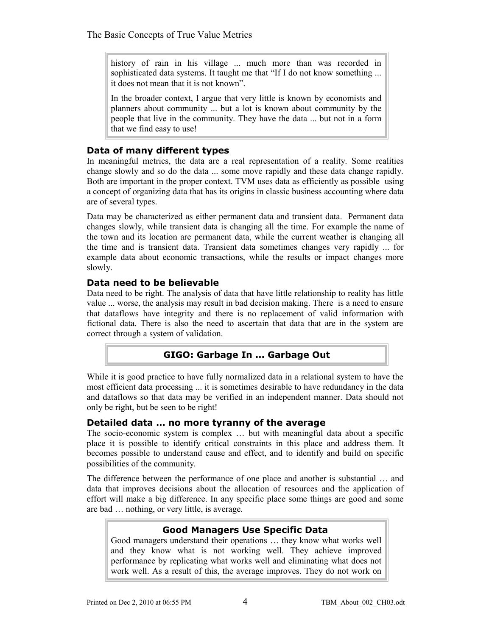history of rain in his village ... much more than was recorded in sophisticated data systems. It taught me that "If I do not know something ... it does not mean that it is not known".

In the broader context, I argue that very little is known by economists and planners about community ... but a lot is known about community by the people that live in the community. They have the data ... but not in a form that we find easy to use!

#### **Data of many different types**

In meaningful metrics, the data are a real representation of a reality. Some realities change slowly and so do the data ... some move rapidly and these data change rapidly. Both are important in the proper context. TVM uses data as efficiently as possible using a concept of organizing data that has its origins in classic business accounting where data are of several types.

Data may be characterized as either permanent data and transient data. Permanent data changes slowly, while transient data is changing all the time. For example the name of the town and its location are permanent data, while the current weather is changing all the time and is transient data. Transient data sometimes changes very rapidly ... for example data about economic transactions, while the results or impact changes more slowly.

#### **Data need to be believable**

Data need to be right. The analysis of data that have little relationship to reality has little value ... worse, the analysis may result in bad decision making. There is a need to ensure that dataflows have integrity and there is no replacement of valid information with fictional data. There is also the need to ascertain that data that are in the system are correct through a system of validation.

#### **GIGO: Garbage In … Garbage Out**

While it is good practice to have fully normalized data in a relational system to have the most efficient data processing ... it is sometimes desirable to have redundancy in the data and dataflows so that data may be verified in an independent manner. Data should not only be right, but be seen to be right!

#### **Detailed data … no more tyranny of the average**

The socio-economic system is complex … but with meaningful data about a specific place it is possible to identify critical constraints in this place and address them. It becomes possible to understand cause and effect, and to identify and build on specific possibilities of the community.

The difference between the performance of one place and another is substantial … and data that improves decisions about the allocation of resources and the application of effort will make a big difference. In any specific place some things are good and some are bad … nothing, or very little, is average.

#### **Good Managers Use Specific Data**

Good managers understand their operations … they know what works well and they know what is not working well. They achieve improved performance by replicating what works well and eliminating what does not work well. As a result of this, the average improves. They do not work on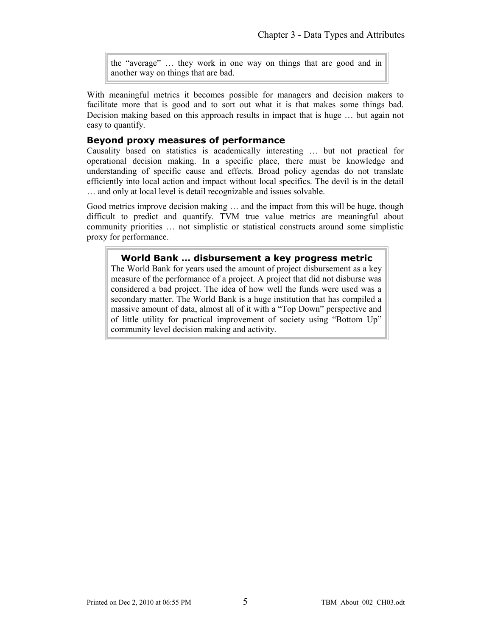the "average" … they work in one way on things that are good and in another way on things that are bad.

With meaningful metrics it becomes possible for managers and decision makers to facilitate more that is good and to sort out what it is that makes some things bad. Decision making based on this approach results in impact that is huge … but again not easy to quantify.

#### **Beyond proxy measures of performance**

Causality based on statistics is academically interesting … but not practical for operational decision making. In a specific place, there must be knowledge and understanding of specific cause and effects. Broad policy agendas do not translate efficiently into local action and impact without local specifics. The devil is in the detail … and only at local level is detail recognizable and issues solvable.

Good metrics improve decision making … and the impact from this will be huge, though difficult to predict and quantify. TVM true value metrics are meaningful about community priorities … not simplistic or statistical constructs around some simplistic proxy for performance.

#### **World Bank … disbursement a key progress metric**

The World Bank for years used the amount of project disbursement as a key measure of the performance of a project. A project that did not disburse was considered a bad project. The idea of how well the funds were used was a secondary matter. The World Bank is a huge institution that has compiled a massive amount of data, almost all of it with a "Top Down" perspective and of little utility for practical improvement of society using "Bottom Up" community level decision making and activity.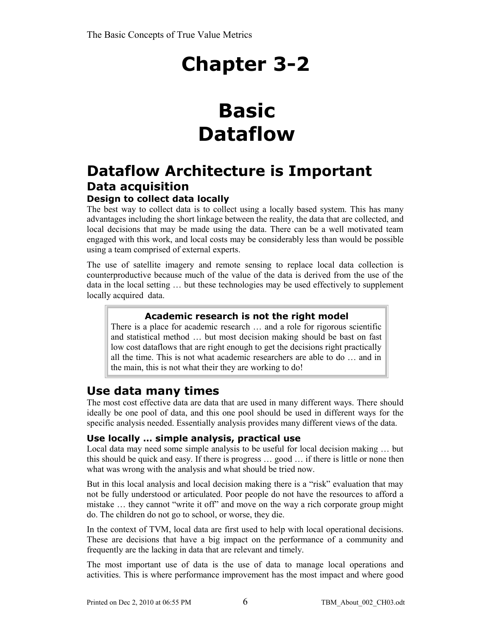## **Basic Dataflow**

### **Dataflow Architecture is Important Data acquisition**

#### **Design to collect data locally**

The best way to collect data is to collect using a locally based system. This has many advantages including the short linkage between the reality, the data that are collected, and local decisions that may be made using the data. There can be a well motivated team engaged with this work, and local costs may be considerably less than would be possible using a team comprised of external experts.

The use of satellite imagery and remote sensing to replace local data collection is counterproductive because much of the value of the data is derived from the use of the data in the local setting … but these technologies may be used effectively to supplement locally acquired data.

#### **Academic research is not the right model**

There is a place for academic research … and a role for rigorous scientific and statistical method … but most decision making should be bast on fast low cost dataflows that are right enough to get the decisions right practically all the time. This is not what academic researchers are able to do … and in the main, this is not what their they are working to do!

### **Use data many times**

The most cost effective data are data that are used in many different ways. There should ideally be one pool of data, and this one pool should be used in different ways for the specific analysis needed. Essentially analysis provides many different views of the data.

#### **Use locally … simple analysis, practical use**

Local data may need some simple analysis to be useful for local decision making … but this should be quick and easy. If there is progress … good … if there is little or none then what was wrong with the analysis and what should be tried now.

But in this local analysis and local decision making there is a "risk" evaluation that may not be fully understood or articulated. Poor people do not have the resources to afford a mistake … they cannot "write it off" and move on the way a rich corporate group might do. The children do not go to school, or worse, they die.

In the context of TVM, local data are first used to help with local operational decisions. These are decisions that have a big impact on the performance of a community and frequently are the lacking in data that are relevant and timely.

The most important use of data is the use of data to manage local operations and activities. This is where performance improvement has the most impact and where good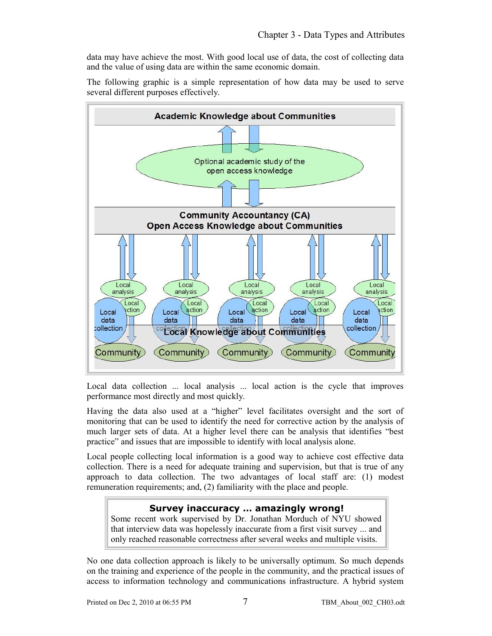data may have achieve the most. With good local use of data, the cost of collecting data and the value of using data are within the same economic domain.

The following graphic is a simple representation of how data may be used to serve several different purposes effectively.



Local data collection ... local analysis ... local action is the cycle that improves performance most directly and most quickly.

Having the data also used at a "higher" level facilitates oversight and the sort of monitoring that can be used to identify the need for corrective action by the analysis of much larger sets of data. At a higher level there can be analysis that identifies "best practice" and issues that are impossible to identify with local analysis alone.

Local people collecting local information is a good way to achieve cost effective data collection. There is a need for adequate training and supervision, but that is true of any approach to data collection. The two advantages of local staff are: (1) modest remuneration requirements; and, (2) familiarity with the place and people.

#### **Survey inaccuracy … amazingly wrong!**

Some recent work supervised by Dr. Jonathan Morduch of NYU showed that interview data was hopelessly inaccurate from a first visit survey ... and only reached reasonable correctness after several weeks and multiple visits.

No one data collection approach is likely to be universally optimum. So much depends on the training and experience of the people in the community, and the practical issues of access to information technology and communications infrastructure. A hybrid system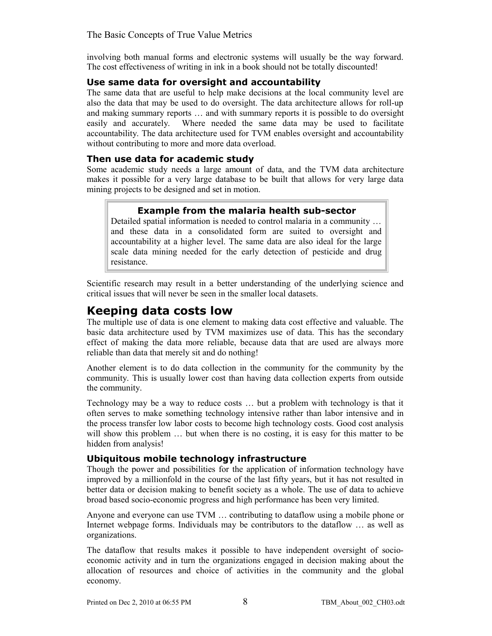involving both manual forms and electronic systems will usually be the way forward. The cost effectiveness of writing in ink in a book should not be totally discounted!

#### **Use same data for oversight and accountability**

The same data that are useful to help make decisions at the local community level are also the data that may be used to do oversight. The data architecture allows for roll-up and making summary reports … and with summary reports it is possible to do oversight easily and accurately. Where needed the same data may be used to facilitate accountability. The data architecture used for TVM enables oversight and accountability without contributing to more and more data overload.

#### **Then use data for academic study**

Some academic study needs a large amount of data, and the TVM data architecture makes it possible for a very large database to be built that allows for very large data mining projects to be designed and set in motion.

#### **Example from the malaria health sub-sector**

Detailed spatial information is needed to control malaria in a community … and these data in a consolidated form are suited to oversight and accountability at a higher level. The same data are also ideal for the large scale data mining needed for the early detection of pesticide and drug resistance.

Scientific research may result in a better understanding of the underlying science and critical issues that will never be seen in the smaller local datasets.

### **Keeping data costs low**

The multiple use of data is one element to making data cost effective and valuable. The basic data architecture used by TVM maximizes use of data. This has the secondary effect of making the data more reliable, because data that are used are always more reliable than data that merely sit and do nothing!

Another element is to do data collection in the community for the community by the community. This is usually lower cost than having data collection experts from outside the community.

Technology may be a way to reduce costs … but a problem with technology is that it often serves to make something technology intensive rather than labor intensive and in the process transfer low labor costs to become high technology costs. Good cost analysis will show this problem ... but when there is no costing, it is easy for this matter to be hidden from analysis!

#### **Ubiquitous mobile technology infrastructure**

Though the power and possibilities for the application of information technology have improved by a millionfold in the course of the last fifty years, but it has not resulted in better data or decision making to benefit society as a whole. The use of data to achieve broad based socio-economic progress and high performance has been very limited.

Anyone and everyone can use TVM … contributing to dataflow using a mobile phone or Internet webpage forms. Individuals may be contributors to the dataflow … as well as organizations.

The dataflow that results makes it possible to have independent oversight of socioeconomic activity and in turn the organizations engaged in decision making about the allocation of resources and choice of activities in the community and the global economy.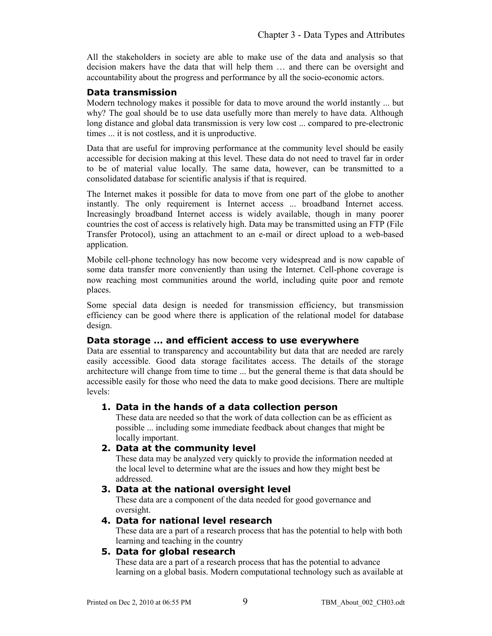All the stakeholders in society are able to make use of the data and analysis so that decision makers have the data that will help them … and there can be oversight and accountability about the progress and performance by all the socio-economic actors.

#### **Data transmission**

Modern technology makes it possible for data to move around the world instantly ... but why? The goal should be to use data usefully more than merely to have data. Although long distance and global data transmission is very low cost ... compared to pre-electronic times ... it is not costless, and it is unproductive.

Data that are useful for improving performance at the community level should be easily accessible for decision making at this level. These data do not need to travel far in order to be of material value locally. The same data, however, can be transmitted to a consolidated database for scientific analysis if that is required.

The Internet makes it possible for data to move from one part of the globe to another instantly. The only requirement is Internet access ... broadband Internet access. Increasingly broadband Internet access is widely available, though in many poorer countries the cost of access is relatively high. Data may be transmitted using an FTP (File Transfer Protocol), using an attachment to an e-mail or direct upload to a web-based application.

Mobile cell-phone technology has now become very widespread and is now capable of some data transfer more conveniently than using the Internet. Cell-phone coverage is now reaching most communities around the world, including quite poor and remote places.

Some special data design is needed for transmission efficiency, but transmission efficiency can be good where there is application of the relational model for database design.

#### **Data storage … and efficient access to use everywhere**

Data are essential to transparency and accountability but data that are needed are rarely easily accessible. Good data storage facilitates access. The details of the storage architecture will change from time to time ... but the general theme is that data should be accessible easily for those who need the data to make good decisions. There are multiple levels:

#### **1. Data in the hands of a data collection person**

These data are needed so that the work of data collection can be as efficient as possible ... including some immediate feedback about changes that might be locally important.

#### **2. Data at the community level**

These data may be analyzed very quickly to provide the information needed at the local level to determine what are the issues and how they might best be addressed.

#### **3. Data at the national oversight level**

These data are a component of the data needed for good governance and oversight.

#### **4. Data for national level research**

These data are a part of a research process that has the potential to help with both learning and teaching in the country

#### **5. Data for global research**

These data are a part of a research process that has the potential to advance learning on a global basis. Modern computational technology such as available at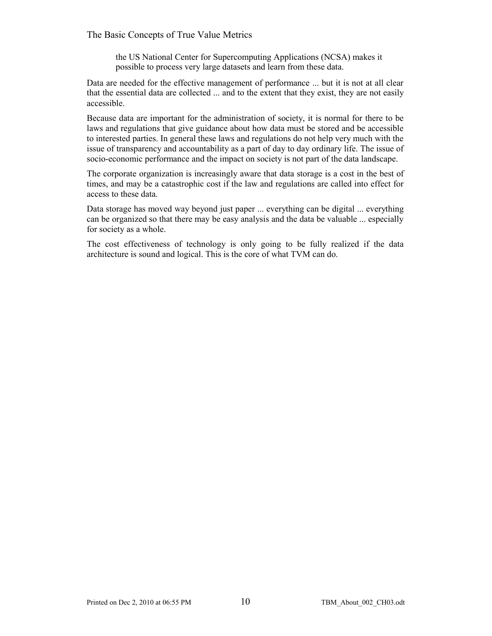#### The Basic Concepts of True Value Metrics

the US National Center for Supercomputing Applications (NCSA) makes it possible to process very large datasets and learn from these data.

Data are needed for the effective management of performance ... but it is not at all clear that the essential data are collected ... and to the extent that they exist, they are not easily accessible.

Because data are important for the administration of society, it is normal for there to be laws and regulations that give guidance about how data must be stored and be accessible to interested parties. In general these laws and regulations do not help very much with the issue of transparency and accountability as a part of day to day ordinary life. The issue of socio-economic performance and the impact on society is not part of the data landscape.

The corporate organization is increasingly aware that data storage is a cost in the best of times, and may be a catastrophic cost if the law and regulations are called into effect for access to these data.

Data storage has moved way beyond just paper ... everything can be digital ... everything can be organized so that there may be easy analysis and the data be valuable ... especially for society as a whole.

The cost effectiveness of technology is only going to be fully realized if the data architecture is sound and logical. This is the core of what TVM can do.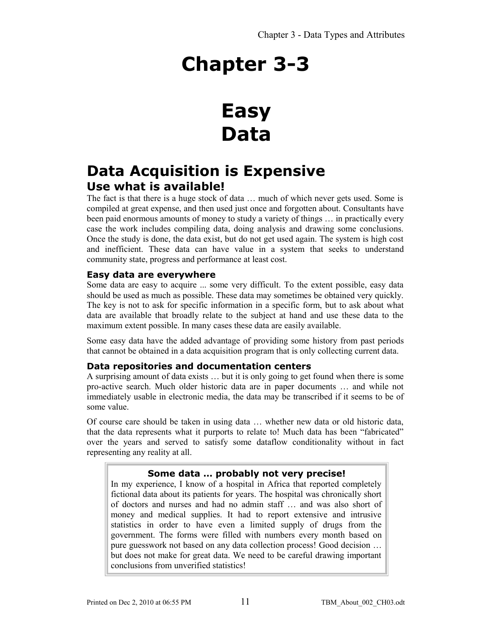### **Easy Data**

### **Data Acquisition is Expensive Use what is available!**

The fact is that there is a huge stock of data … much of which never gets used. Some is compiled at great expense, and then used just once and forgotten about. Consultants have been paid enormous amounts of money to study a variety of things … in practically every case the work includes compiling data, doing analysis and drawing some conclusions. Once the study is done, the data exist, but do not get used again. The system is high cost and inefficient. These data can have value in a system that seeks to understand community state, progress and performance at least cost.

#### **Easy data are everywhere**

Some data are easy to acquire ... some very difficult. To the extent possible, easy data should be used as much as possible. These data may sometimes be obtained very quickly. The key is not to ask for specific information in a specific form, but to ask about what data are available that broadly relate to the subject at hand and use these data to the maximum extent possible. In many cases these data are easily available.

Some easy data have the added advantage of providing some history from past periods that cannot be obtained in a data acquisition program that is only collecting current data.

#### **Data repositories and documentation centers**

A surprising amount of data exists … but it is only going to get found when there is some pro-active search. Much older historic data are in paper documents … and while not immediately usable in electronic media, the data may be transcribed if it seems to be of some value.

Of course care should be taken in using data … whether new data or old historic data, that the data represents what it purports to relate to! Much data has been "fabricated" over the years and served to satisfy some dataflow conditionality without in fact representing any reality at all.

#### **Some data … probably not very precise!**

In my experience, I know of a hospital in Africa that reported completely fictional data about its patients for years. The hospital was chronically short of doctors and nurses and had no admin staff … and was also short of money and medical supplies. It had to report extensive and intrusive statistics in order to have even a limited supply of drugs from the government. The forms were filled with numbers every month based on pure guesswork not based on any data collection process! Good decision … but does not make for great data. We need to be careful drawing important conclusions from unverified statistics!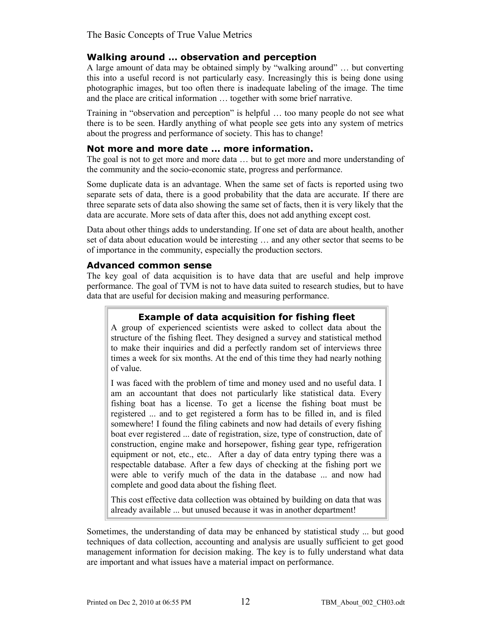#### **Walking around … observation and perception**

A large amount of data may be obtained simply by "walking around" … but converting this into a useful record is not particularly easy. Increasingly this is being done using photographic images, but too often there is inadequate labeling of the image. The time and the place are critical information … together with some brief narrative.

Training in "observation and perception" is helpful … too many people do not see what there is to be seen. Hardly anything of what people see gets into any system of metrics about the progress and performance of society. This has to change!

#### **Not more and more date … more information.**

The goal is not to get more and more data … but to get more and more understanding of the community and the socio-economic state, progress and performance.

Some duplicate data is an advantage. When the same set of facts is reported using two separate sets of data, there is a good probability that the data are accurate. If there are three separate sets of data also showing the same set of facts, then it is very likely that the data are accurate. More sets of data after this, does not add anything except cost.

Data about other things adds to understanding. If one set of data are about health, another set of data about education would be interesting … and any other sector that seems to be of importance in the community, especially the production sectors.

#### **Advanced common sense**

The key goal of data acquisition is to have data that are useful and help improve performance. The goal of TVM is not to have data suited to research studies, but to have data that are useful for decision making and measuring performance.

#### **Example of data acquisition for fishing fleet**

A group of experienced scientists were asked to collect data about the structure of the fishing fleet. They designed a survey and statistical method to make their inquiries and did a perfectly random set of interviews three times a week for six months. At the end of this time they had nearly nothing of value.

I was faced with the problem of time and money used and no useful data. I am an accountant that does not particularly like statistical data. Every fishing boat has a license. To get a license the fishing boat must be registered ... and to get registered a form has to be filled in, and is filed somewhere! I found the filing cabinets and now had details of every fishing boat ever registered ... date of registration, size, type of construction, date of construction, engine make and horsepower, fishing gear type, refrigeration equipment or not, etc., etc.. After a day of data entry typing there was a respectable database. After a few days of checking at the fishing port we were able to verify much of the data in the database ... and now had complete and good data about the fishing fleet.

This cost effective data collection was obtained by building on data that was already available ... but unused because it was in another department!

Sometimes, the understanding of data may be enhanced by statistical study ... but good techniques of data collection, accounting and analysis are usually sufficient to get good management information for decision making. The key is to fully understand what data are important and what issues have a material impact on performance.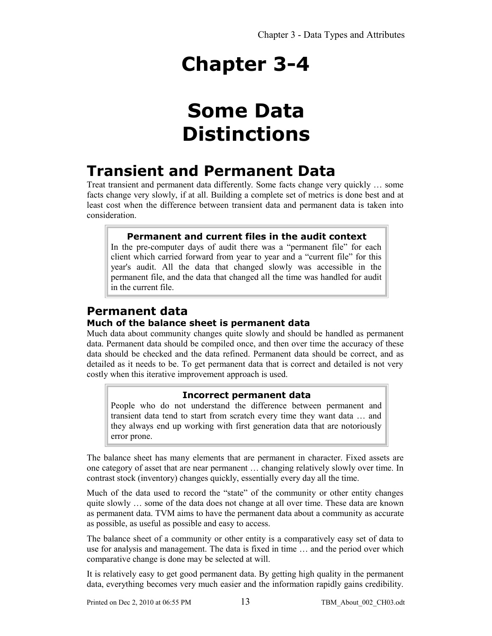### **Some Data Distinctions**

### **Transient and Permanent Data**

Treat transient and permanent data differently. Some facts change very quickly … some facts change very slowly, if at all. Building a complete set of metrics is done best and at least cost when the difference between transient data and permanent data is taken into consideration.

#### **Permanent and current files in the audit context**

In the pre-computer days of audit there was a "permanent file" for each client which carried forward from year to year and a "current file" for this year's audit. All the data that changed slowly was accessible in the permanent file, and the data that changed all the time was handled for audit in the current file.

#### **Permanent data Much of the balance sheet is permanent data**

Much data about community changes quite slowly and should be handled as permanent data. Permanent data should be compiled once, and then over time the accuracy of these data should be checked and the data refined. Permanent data should be correct, and as detailed as it needs to be. To get permanent data that is correct and detailed is not very costly when this iterative improvement approach is used.

#### **Incorrect permanent data**

People who do not understand the difference between permanent and transient data tend to start from scratch every time they want data … and they always end up working with first generation data that are notoriously error prone.

The balance sheet has many elements that are permanent in character. Fixed assets are one category of asset that are near permanent … changing relatively slowly over time. In contrast stock (inventory) changes quickly, essentially every day all the time.

Much of the data used to record the "state" of the community or other entity changes quite slowly … some of the data does not change at all over time. These data are known as permanent data. TVM aims to have the permanent data about a community as accurate as possible, as useful as possible and easy to access.

The balance sheet of a community or other entity is a comparatively easy set of data to use for analysis and management. The data is fixed in time … and the period over which comparative change is done may be selected at will.

It is relatively easy to get good permanent data. By getting high quality in the permanent data, everything becomes very much easier and the information rapidly gains credibility.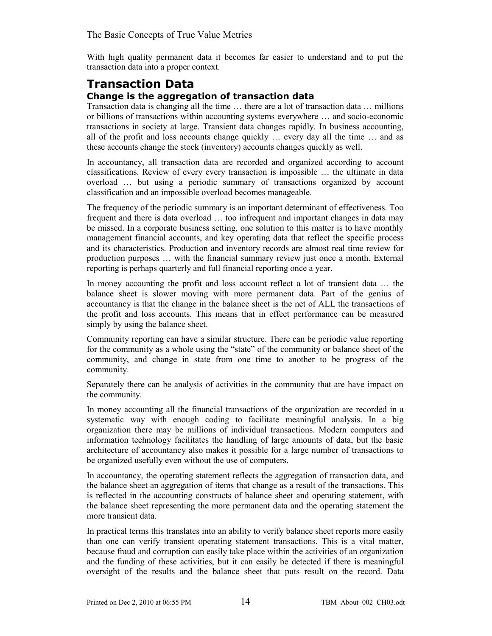The Basic Concepts of True Value Metrics

With high quality permanent data it becomes far easier to understand and to put the transaction data into a proper context.

#### **Transaction Data Change is the aggregation of transaction data**

Transaction data is changing all the time … there are a lot of transaction data … millions or billions of transactions within accounting systems everywhere … and socio-economic transactions in society at large. Transient data changes rapidly. In business accounting, all of the profit and loss accounts change quickly … every day all the time … and as these accounts change the stock (inventory) accounts changes quickly as well.

In accountancy, all transaction data are recorded and organized according to account classifications. Review of every every transaction is impossible … the ultimate in data overload … but using a periodic summary of transactions organized by account classification and an impossible overload becomes manageable.

The frequency of the periodic summary is an important determinant of effectiveness. Too frequent and there is data overload … too infrequent and important changes in data may be missed. In a corporate business setting, one solution to this matter is to have monthly management financial accounts, and key operating data that reflect the specific process and its characteristics. Production and inventory records are almost real time review for production purposes … with the financial summary review just once a month. External reporting is perhaps quarterly and full financial reporting once a year.

In money accounting the profit and loss account reflect a lot of transient data … the balance sheet is slower moving with more permanent data. Part of the genius of accountancy is that the change in the balance sheet is the net of ALL the transactions of the profit and loss accounts. This means that in effect performance can be measured simply by using the balance sheet.

Community reporting can have a similar structure. There can be periodic value reporting for the community as a whole using the "state" of the community or balance sheet of the community, and change in state from one time to another to be progress of the community.

Separately there can be analysis of activities in the community that are have impact on the community.

In money accounting all the financial transactions of the organization are recorded in a systematic way with enough coding to facilitate meaningful analysis. In a big organization there may be millions of individual transactions. Modern computers and information technology facilitates the handling of large amounts of data, but the basic architecture of accountancy also makes it possible for a large number of transactions to be organized usefully even without the use of computers.

In accountancy, the operating statement reflects the aggregation of transaction data, and the balance sheet an aggregation of items that change as a result of the transactions. This is reflected in the accounting constructs of balance sheet and operating statement, with the balance sheet representing the more permanent data and the operating statement the more transient data.

In practical terms this translates into an ability to verify balance sheet reports more easily than one can verify transient operating statement transactions. This is a vital matter, because fraud and corruption can easily take place within the activities of an organization and the funding of these activities, but it can easily be detected if there is meaningful oversight of the results and the balance sheet that puts result on the record. Data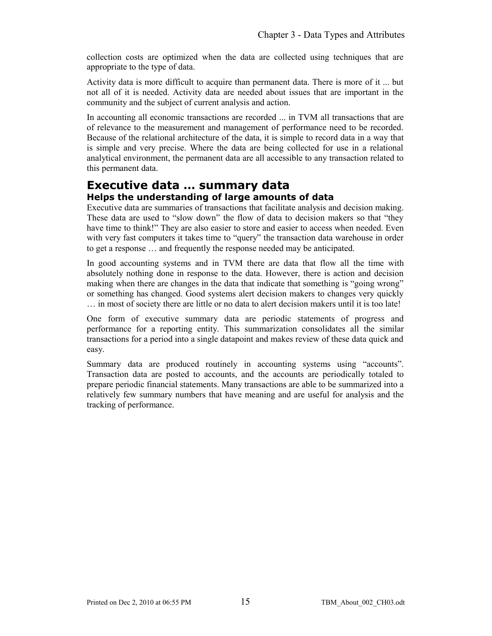collection costs are optimized when the data are collected using techniques that are appropriate to the type of data.

Activity data is more difficult to acquire than permanent data. There is more of it ... but not all of it is needed. Activity data are needed about issues that are important in the community and the subject of current analysis and action.

In accounting all economic transactions are recorded ... in TVM all transactions that are of relevance to the measurement and management of performance need to be recorded. Because of the relational architecture of the data, it is simple to record data in a way that is simple and very precise. Where the data are being collected for use in a relational analytical environment, the permanent data are all accessible to any transaction related to this permanent data.

#### **Executive data … summary data Helps the understanding of large amounts of data**

Executive data are summaries of transactions that facilitate analysis and decision making. These data are used to "slow down" the flow of data to decision makers so that "they have time to think!" They are also easier to store and easier to access when needed. Even with very fast computers it takes time to "query" the transaction data warehouse in order to get a response … and frequently the response needed may be anticipated.

In good accounting systems and in TVM there are data that flow all the time with absolutely nothing done in response to the data. However, there is action and decision making when there are changes in the data that indicate that something is "going wrong" or something has changed. Good systems alert decision makers to changes very quickly … in most of society there are little or no data to alert decision makers until it is too late!

One form of executive summary data are periodic statements of progress and performance for a reporting entity. This summarization consolidates all the similar transactions for a period into a single datapoint and makes review of these data quick and easy.

Summary data are produced routinely in accounting systems using "accounts". Transaction data are posted to accounts, and the accounts are periodically totaled to prepare periodic financial statements. Many transactions are able to be summarized into a relatively few summary numbers that have meaning and are useful for analysis and the tracking of performance.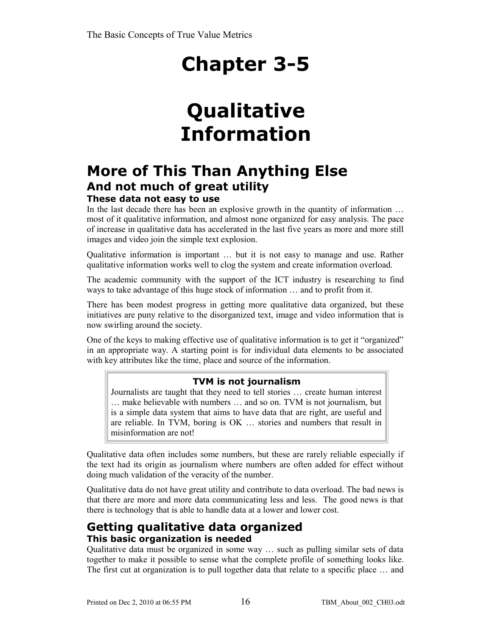## **Qualitative Information**

### **More of This Than Anything Else And not much of great utility**

#### **These data not easy to use**

In the last decade there has been an explosive growth in the quantity of information ... most of it qualitative information, and almost none organized for easy analysis. The pace of increase in qualitative data has accelerated in the last five years as more and more still images and video join the simple text explosion.

Qualitative information is important … but it is not easy to manage and use. Rather qualitative information works well to clog the system and create information overload.

The academic community with the support of the ICT industry is researching to find ways to take advantage of this huge stock of information … and to profit from it.

There has been modest progress in getting more qualitative data organized, but these initiatives are puny relative to the disorganized text, image and video information that is now swirling around the society.

One of the keys to making effective use of qualitative information is to get it "organized" in an appropriate way. A starting point is for individual data elements to be associated with key attributes like the time, place and source of the information.

#### **TVM is not journalism**

Journalists are taught that they need to tell stories … create human interest … make believable with numbers … and so on. TVM is not journalism, but is a simple data system that aims to have data that are right, are useful and are reliable. In TVM, boring is OK … stories and numbers that result in misinformation are not!

Qualitative data often includes some numbers, but these are rarely reliable especially if the text had its origin as journalism where numbers are often added for effect without doing much validation of the veracity of the number.

Qualitative data do not have great utility and contribute to data overload. The bad news is that there are more and more data communicating less and less. The good news is that there is technology that is able to handle data at a lower and lower cost.

#### **Getting qualitative data organized This basic organization is needed**

Qualitative data must be organized in some way … such as pulling similar sets of data together to make it possible to sense what the complete profile of something looks like. The first cut at organization is to pull together data that relate to a specific place … and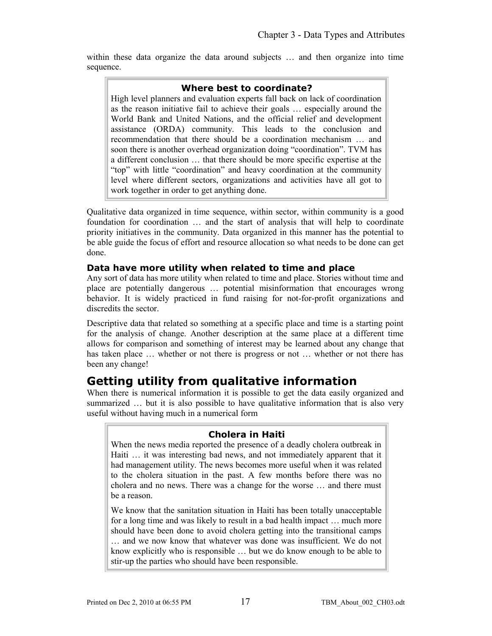within these data organize the data around subjects ... and then organize into time sequence.

#### **Where best to coordinate?**

High level planners and evaluation experts fall back on lack of coordination as the reason initiative fail to achieve their goals … especially around the World Bank and United Nations, and the official relief and development assistance (ORDA) community. This leads to the conclusion and recommendation that there should be a coordination mechanism … and soon there is another overhead organization doing "coordination". TVM has a different conclusion … that there should be more specific expertise at the "top" with little "coordination" and heavy coordination at the community level where different sectors, organizations and activities have all got to work together in order to get anything done.

Qualitative data organized in time sequence, within sector, within community is a good foundation for coordination … and the start of analysis that will help to coordinate priority initiatives in the community. Data organized in this manner has the potential to be able guide the focus of effort and resource allocation so what needs to be done can get done.

#### **Data have more utility when related to time and place**

Any sort of data has more utility when related to time and place. Stories without time and place are potentially dangerous … potential misinformation that encourages wrong behavior. It is widely practiced in fund raising for not-for-profit organizations and discredits the sector.

Descriptive data that related so something at a specific place and time is a starting point for the analysis of change. Another description at the same place at a different time allows for comparison and something of interest may be learned about any change that has taken place … whether or not there is progress or not … whether or not there has been any change!

### **Getting utility from qualitative information**

When there is numerical information it is possible to get the data easily organized and summarized … but it is also possible to have qualitative information that is also very useful without having much in a numerical form

#### **Cholera in Haiti**

When the news media reported the presence of a deadly cholera outbreak in Haiti … it was interesting bad news, and not immediately apparent that it had management utility. The news becomes more useful when it was related to the cholera situation in the past. A few months before there was no cholera and no news. There was a change for the worse … and there must be a reason.

We know that the sanitation situation in Haiti has been totally unacceptable for a long time and was likely to result in a bad health impact … much more should have been done to avoid cholera getting into the transitional camps … and we now know that whatever was done was insufficient. We do not know explicitly who is responsible … but we do know enough to be able to stir-up the parties who should have been responsible.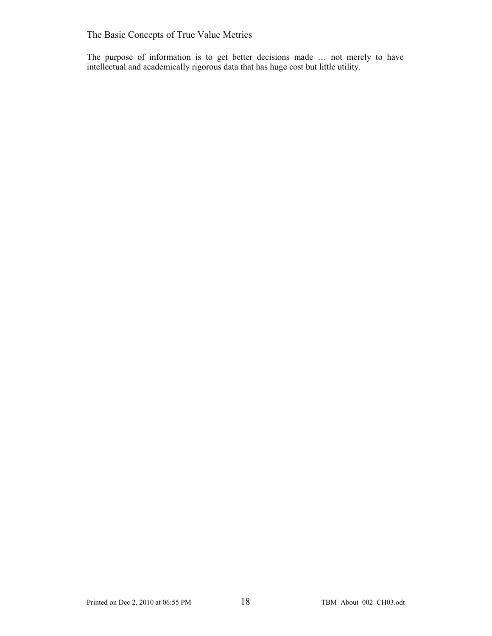The Basic Concepts of True Value Metrics

The purpose of information is to get better decisions made … not merely to have intellectual and academically rigorous data that has huge cost but little utility.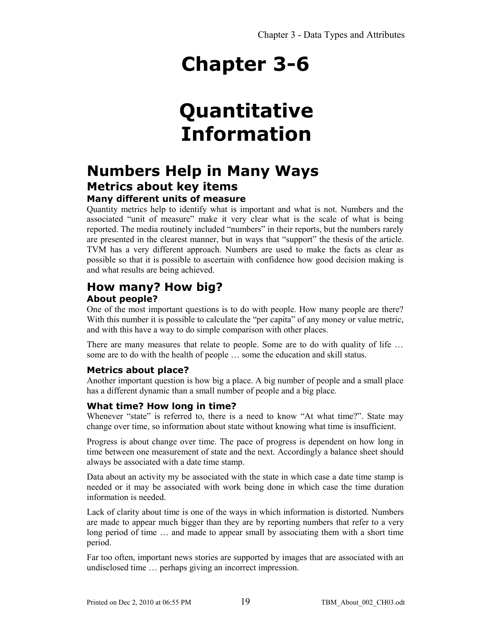## **Quantitative Information**

### **Numbers Help in Many Ways Metrics about key items**

#### **Many different units of measure**

Quantity metrics help to identify what is important and what is not. Numbers and the associated "unit of measure" make it very clear what is the scale of what is being reported. The media routinely included "numbers" in their reports, but the numbers rarely are presented in the clearest manner, but in ways that "support" the thesis of the article. TVM has a very different approach. Numbers are used to make the facts as clear as possible so that it is possible to ascertain with confidence how good decision making is and what results are being achieved.

#### **How many? How big? About people?**

One of the most important questions is to do with people. How many people are there? With this number it is possible to calculate the "per capita" of any money or value metric, and with this have a way to do simple comparison with other places.

There are many measures that relate to people. Some are to do with quality of life … some are to do with the health of people … some the education and skill status.

#### **Metrics about place?**

Another important question is how big a place. A big number of people and a small place has a different dynamic than a small number of people and a big place.

#### **What time? How long in time?**

Whenever "state" is referred to, there is a need to know "At what time?". State may change over time, so information about state without knowing what time is insufficient.

Progress is about change over time. The pace of progress is dependent on how long in time between one measurement of state and the next. Accordingly a balance sheet should always be associated with a date time stamp.

Data about an activity my be associated with the state in which case a date time stamp is needed or it may be associated with work being done in which case the time duration information is needed.

Lack of clarity about time is one of the ways in which information is distorted. Numbers are made to appear much bigger than they are by reporting numbers that refer to a very long period of time … and made to appear small by associating them with a short time period.

Far too often, important news stories are supported by images that are associated with an undisclosed time … perhaps giving an incorrect impression.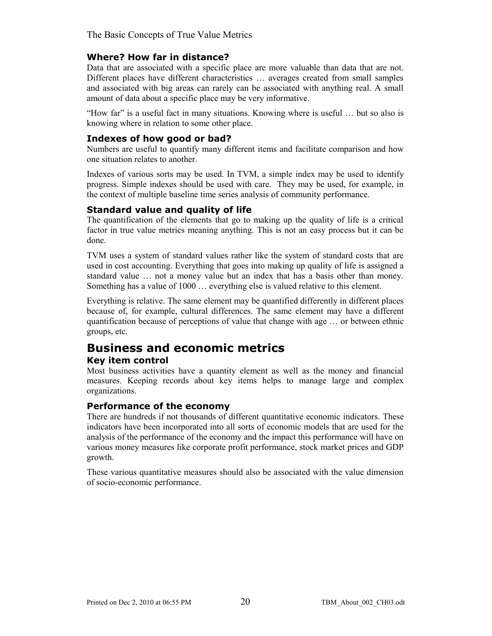The Basic Concepts of True Value Metrics

#### **Where? How far in distance?**

Data that are associated with a specific place are more valuable than data that are not. Different places have different characteristics … averages created from small samples and associated with big areas can rarely can be associated with anything real. A small amount of data about a specific place may be very informative.

"How far" is a useful fact in many situations. Knowing where is useful … but so also is knowing where in relation to some other place.

#### **Indexes of how good or bad?**

Numbers are useful to quantify many different items and facilitate comparison and how one situation relates to another.

Indexes of various sorts may be used. In TVM, a simple index may be used to identify progress. Simple indexes should be used with care. They may be used, for example, in the context of multiple baseline time series analysis of community performance.

#### **Standard value and quality of life**

The quantification of the elements that go to making up the quality of life is a critical factor in true value metrics meaning anything. This is not an easy process but it can be done.

TVM uses a system of standard values rather like the system of standard costs that are used in cost accounting. Everything that goes into making up quality of life is assigned a standard value … not a money value but an index that has a basis other than money. Something has a value of 1000 … everything else is valued relative to this element.

Everything is relative. The same element may be quantified differently in different places because of, for example, cultural differences. The same element may have a different quantification because of perceptions of value that change with age … or between ethnic groups, etc.

### **Business and economic metrics**

#### **Key item control**

Most business activities have a quantity element as well as the money and financial measures. Keeping records about key items helps to manage large and complex organizations.

#### **Performance of the economy**

There are hundreds if not thousands of different quantitative economic indicators. These indicators have been incorporated into all sorts of economic models that are used for the analysis of the performance of the economy and the impact this performance will have on various money measures like corporate profit performance, stock market prices and GDP growth.

These various quantitative measures should also be associated with the value dimension of socio-economic performance.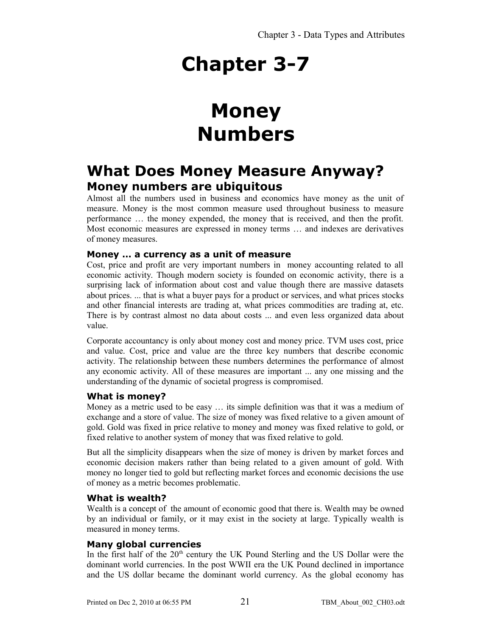## **Money Numbers**

### **What Does Money Measure Anyway? Money numbers are ubiquitous**

Almost all the numbers used in business and economics have money as the unit of measure. Money is the most common measure used throughout business to measure performance … the money expended, the money that is received, and then the profit. Most economic measures are expressed in money terms … and indexes are derivatives of money measures.

#### **Money … a currency as a unit of measure**

Cost, price and profit are very important numbers in money accounting related to all economic activity. Though modern society is founded on economic activity, there is a surprising lack of information about cost and value though there are massive datasets about prices. ... that is what a buyer pays for a product or services, and what prices stocks and other financial interests are trading at, what prices commodities are trading at, etc. There is by contrast almost no data about costs ... and even less organized data about value.

Corporate accountancy is only about money cost and money price. TVM uses cost, price and value. Cost, price and value are the three key numbers that describe economic activity. The relationship between these numbers determines the performance of almost any economic activity. All of these measures are important ... any one missing and the understanding of the dynamic of societal progress is compromised.

#### **What is money?**

Money as a metric used to be easy … its simple definition was that it was a medium of exchange and a store of value. The size of money was fixed relative to a given amount of gold. Gold was fixed in price relative to money and money was fixed relative to gold, or fixed relative to another system of money that was fixed relative to gold.

But all the simplicity disappears when the size of money is driven by market forces and economic decision makers rather than being related to a given amount of gold. With money no longer tied to gold but reflecting market forces and economic decisions the use of money as a metric becomes problematic.

#### **What is wealth?**

Wealth is a concept of the amount of economic good that there is. Wealth may be owned by an individual or family, or it may exist in the society at large. Typically wealth is measured in money terms.

#### **Many global currencies**

In the first half of the  $20<sup>th</sup>$  century the UK Pound Sterling and the US Dollar were the dominant world currencies. In the post WWII era the UK Pound declined in importance and the US dollar became the dominant world currency. As the global economy has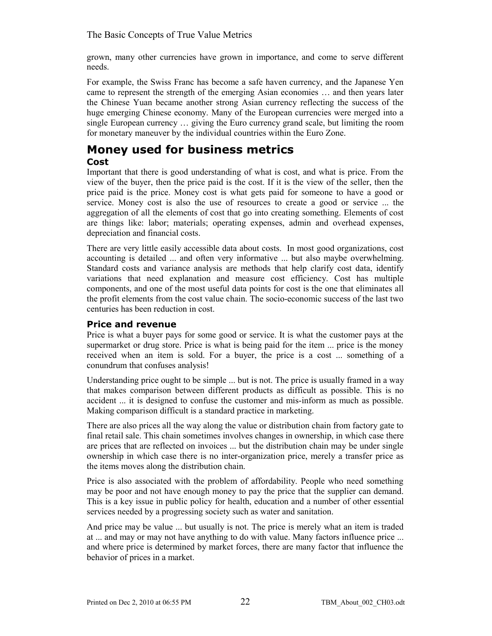The Basic Concepts of True Value Metrics

grown, many other currencies have grown in importance, and come to serve different needs.

For example, the Swiss Franc has become a safe haven currency, and the Japanese Yen came to represent the strength of the emerging Asian economies … and then years later the Chinese Yuan became another strong Asian currency reflecting the success of the huge emerging Chinese economy. Many of the European currencies were merged into a single European currency … giving the Euro currency grand scale, but limiting the room for monetary maneuver by the individual countries within the Euro Zone.

#### **Money used for business metrics Cost**

Important that there is good understanding of what is cost, and what is price. From the view of the buyer, then the price paid is the cost. If it is the view of the seller, then the price paid is the price. Money cost is what gets paid for someone to have a good or service. Money cost is also the use of resources to create a good or service ... the aggregation of all the elements of cost that go into creating something. Elements of cost are things like: labor; materials; operating expenses, admin and overhead expenses, depreciation and financial costs.

There are very little easily accessible data about costs. In most good organizations, cost accounting is detailed ... and often very informative ... but also maybe overwhelming. Standard costs and variance analysis are methods that help clarify cost data, identify variations that need explanation and measure cost efficiency. Cost has multiple components, and one of the most useful data points for cost is the one that eliminates all the profit elements from the cost value chain. The socio-economic success of the last two centuries has been reduction in cost.

#### **Price and revenue**

Price is what a buyer pays for some good or service. It is what the customer pays at the supermarket or drug store. Price is what is being paid for the item ... price is the money received when an item is sold. For a buyer, the price is a cost ... something of a conundrum that confuses analysis!

Understanding price ought to be simple ... but is not. The price is usually framed in a way that makes comparison between different products as difficult as possible. This is no accident ... it is designed to confuse the customer and mis-inform as much as possible. Making comparison difficult is a standard practice in marketing.

There are also prices all the way along the value or distribution chain from factory gate to final retail sale. This chain sometimes involves changes in ownership, in which case there are prices that are reflected on invoices ... but the distribution chain may be under single ownership in which case there is no inter-organization price, merely a transfer price as the items moves along the distribution chain.

Price is also associated with the problem of affordability. People who need something may be poor and not have enough money to pay the price that the supplier can demand. This is a key issue in public policy for health, education and a number of other essential services needed by a progressing society such as water and sanitation.

And price may be value ... but usually is not. The price is merely what an item is traded at ... and may or may not have anything to do with value. Many factors influence price ... and where price is determined by market forces, there are many factor that influence the behavior of prices in a market.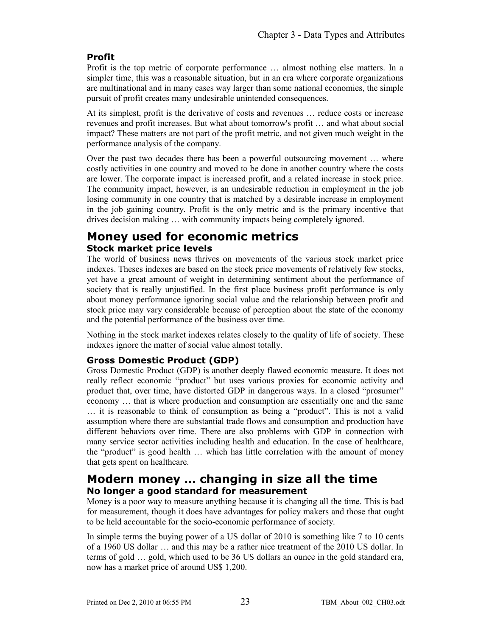#### **Profit**

Profit is the top metric of corporate performance … almost nothing else matters. In a simpler time, this was a reasonable situation, but in an era where corporate organizations are multinational and in many cases way larger than some national economies, the simple pursuit of profit creates many undesirable unintended consequences.

At its simplest, profit is the derivative of costs and revenues … reduce costs or increase revenues and profit increases. But what about tomorrow's profit … and what about social impact? These matters are not part of the profit metric, and not given much weight in the performance analysis of the company.

Over the past two decades there has been a powerful outsourcing movement … where costly activities in one country and moved to be done in another country where the costs are lower. The corporate impact is increased profit, and a related increase in stock price. The community impact, however, is an undesirable reduction in employment in the job losing community in one country that is matched by a desirable increase in employment in the job gaining country. Profit is the only metric and is the primary incentive that drives decision making … with community impacts being completely ignored.

#### **Money used for economic metrics Stock market price levels**

The world of business news thrives on movements of the various stock market price indexes. Theses indexes are based on the stock price movements of relatively few stocks, yet have a great amount of weight in determining sentiment about the performance of society that is really unjustified. In the first place business profit performance is only about money performance ignoring social value and the relationship between profit and stock price may vary considerable because of perception about the state of the economy and the potential performance of the business over time.

Nothing in the stock market indexes relates closely to the quality of life of society. These indexes ignore the matter of social value almost totally.

#### **Gross Domestic Product (GDP)**

Gross Domestic Product (GDP) is another deeply flawed economic measure. It does not really reflect economic "product" but uses various proxies for economic activity and product that, over time, have distorted GDP in dangerous ways. In a closed "prosumer" economy … that is where production and consumption are essentially one and the same … it is reasonable to think of consumption as being a "product". This is not a valid assumption where there are substantial trade flows and consumption and production have different behaviors over time. There are also problems with GDP in connection with many service sector activities including health and education. In the case of healthcare, the "product" is good health … which has little correlation with the amount of money that gets spent on healthcare.

#### **Modern money … changing in size all the time No longer a good standard for measurement**

Money is a poor way to measure anything because it is changing all the time. This is bad for measurement, though it does have advantages for policy makers and those that ought to be held accountable for the socio-economic performance of society.

In simple terms the buying power of a US dollar of 2010 is something like 7 to 10 cents of a 1960 US dollar … and this may be a rather nice treatment of the 2010 US dollar. In terms of gold … gold, which used to be 36 US dollars an ounce in the gold standard era, now has a market price of around US\$ 1,200.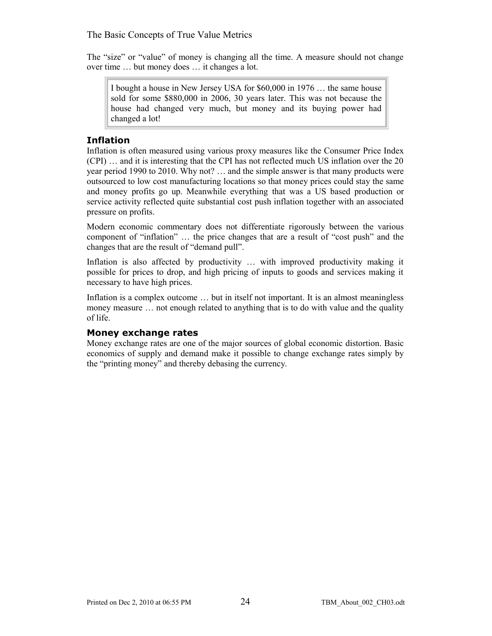The "size" or "value" of money is changing all the time. A measure should not change over time … but money does … it changes a lot.

I bought a house in New Jersey USA for \$60,000 in 1976 … the same house sold for some \$880,000 in 2006, 30 years later. This was not because the house had changed very much, but money and its buying power had changed a lot!

#### **Inflation**

Inflation is often measured using various proxy measures like the Consumer Price Index (CPI) … and it is interesting that the CPI has not reflected much US inflation over the 20 year period 1990 to 2010. Why not? … and the simple answer is that many products were outsourced to low cost manufacturing locations so that money prices could stay the same and money profits go up. Meanwhile everything that was a US based production or service activity reflected quite substantial cost push inflation together with an associated pressure on profits.

Modern economic commentary does not differentiate rigorously between the various component of "inflation" … the price changes that are a result of "cost push" and the changes that are the result of "demand pull".

Inflation is also affected by productivity … with improved productivity making it possible for prices to drop, and high pricing of inputs to goods and services making it necessary to have high prices.

Inflation is a complex outcome … but in itself not important. It is an almost meaningless money measure … not enough related to anything that is to do with value and the quality of life.

#### **Money exchange rates**

Money exchange rates are one of the major sources of global economic distortion. Basic economics of supply and demand make it possible to change exchange rates simply by the "printing money" and thereby debasing the currency.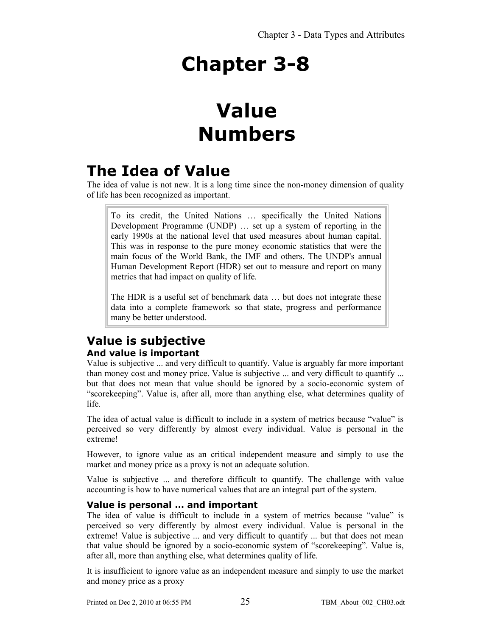## **Value Numbers**

### **The Idea of Value**

The idea of value is not new. It is a long time since the non-money dimension of quality of life has been recognized as important.

To its credit, the United Nations … specifically the United Nations Development Programme (UNDP) … set up a system of reporting in the early 1990s at the national level that used measures about human capital. This was in response to the pure money economic statistics that were the main focus of the World Bank, the IMF and others. The UNDP's annual Human Development Report (HDR) set out to measure and report on many metrics that had impact on quality of life.

The HDR is a useful set of benchmark data … but does not integrate these data into a complete framework so that state, progress and performance many be better understood.

### **Value is subjective And value is important**

Value is subjective ... and very difficult to quantify. Value is arguably far more important than money cost and money price. Value is subjective ... and very difficult to quantify ... but that does not mean that value should be ignored by a socio-economic system of "scorekeeping". Value is, after all, more than anything else, what determines quality of life.

The idea of actual value is difficult to include in a system of metrics because "value" is perceived so very differently by almost every individual. Value is personal in the extreme!

However, to ignore value as an critical independent measure and simply to use the market and money price as a proxy is not an adequate solution.

Value is subjective ... and therefore difficult to quantify. The challenge with value accounting is how to have numerical values that are an integral part of the system.

#### **Value is personal … and important**

The idea of value is difficult to include in a system of metrics because "value" is perceived so very differently by almost every individual. Value is personal in the extreme! Value is subjective ... and very difficult to quantify ... but that does not mean that value should be ignored by a socio-economic system of "scorekeeping". Value is, after all, more than anything else, what determines quality of life.

It is insufficient to ignore value as an independent measure and simply to use the market and money price as a proxy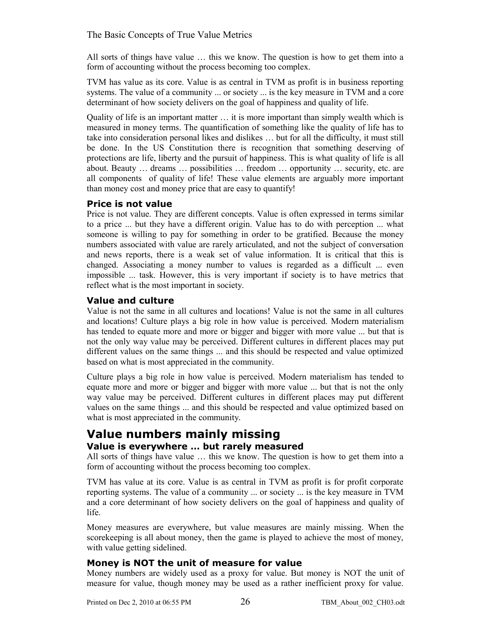The Basic Concepts of True Value Metrics

All sorts of things have value … this we know. The question is how to get them into a form of accounting without the process becoming too complex.

TVM has value as its core. Value is as central in TVM as profit is in business reporting systems. The value of a community ... or society ... is the key measure in TVM and a core determinant of how society delivers on the goal of happiness and quality of life.

Quality of life is an important matter … it is more important than simply wealth which is measured in money terms. The quantification of something like the quality of life has to take into consideration personal likes and dislikes … but for all the difficulty, it must still be done. In the US Constitution there is recognition that something deserving of protections are life, liberty and the pursuit of happiness. This is what quality of life is all about. Beauty … dreams … possibilities … freedom … opportunity … security, etc. are all components of quality of life! These value elements are arguably more important than money cost and money price that are easy to quantify!

#### **Price is not value**

Price is not value. They are different concepts. Value is often expressed in terms similar to a price ... but they have a different origin. Value has to do with perception ... what someone is willing to pay for something in order to be gratified. Because the money numbers associated with value are rarely articulated, and not the subject of conversation and news reports, there is a weak set of value information. It is critical that this is changed. Associating a money number to values is regarded as a difficult ... even impossible ... task. However, this is very important if society is to have metrics that reflect what is the most important in society.

#### **Value and culture**

Value is not the same in all cultures and locations! Value is not the same in all cultures and locations! Culture plays a big role in how value is perceived. Modern materialism has tended to equate more and more or bigger and bigger with more value ... but that is not the only way value may be perceived. Different cultures in different places may put different values on the same things ... and this should be respected and value optimized based on what is most appreciated in the community.

Culture plays a big role in how value is perceived. Modern materialism has tended to equate more and more or bigger and bigger with more value ... but that is not the only way value may be perceived. Different cultures in different places may put different values on the same things ... and this should be respected and value optimized based on what is most appreciated in the community.

#### **Value numbers mainly missing Value is everywhere … but rarely measured**

All sorts of things have value … this we know. The question is how to get them into a form of accounting without the process becoming too complex.

TVM has value at its core. Value is as central in TVM as profit is for profit corporate reporting systems. The value of a community ... or society ... is the key measure in TVM and a core determinant of how society delivers on the goal of happiness and quality of life.

Money measures are everywhere, but value measures are mainly missing. When the scorekeeping is all about money, then the game is played to achieve the most of money, with value getting sidelined.

#### **Money is NOT the unit of measure for value**

Money numbers are widely used as a proxy for value. But money is NOT the unit of measure for value, though money may be used as a rather inefficient proxy for value.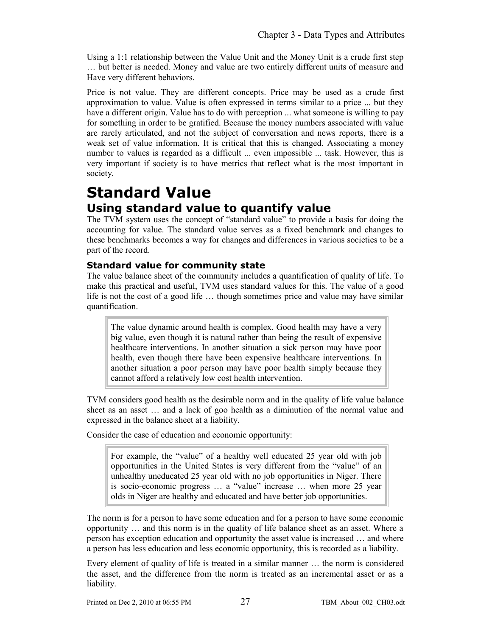Using a 1:1 relationship between the Value Unit and the Money Unit is a crude first step … but better is needed. Money and value are two entirely different units of measure and Have very different behaviors.

Price is not value. They are different concepts. Price may be used as a crude first approximation to value. Value is often expressed in terms similar to a price ... but they have a different origin. Value has to do with perception ... what someone is willing to pay for something in order to be gratified. Because the money numbers associated with value are rarely articulated, and not the subject of conversation and news reports, there is a weak set of value information. It is critical that this is changed. Associating a money number to values is regarded as a difficult ... even impossible ... task. However, this is very important if society is to have metrics that reflect what is the most important in society.

### **Standard Value Using standard value to quantify value**

The TVM system uses the concept of "standard value" to provide a basis for doing the accounting for value. The standard value serves as a fixed benchmark and changes to these benchmarks becomes a way for changes and differences in various societies to be a part of the record.

#### **Standard value for community state**

The value balance sheet of the community includes a quantification of quality of life. To make this practical and useful, TVM uses standard values for this. The value of a good life is not the cost of a good life … though sometimes price and value may have similar quantification.

The value dynamic around health is complex. Good health may have a very big value, even though it is natural rather than being the result of expensive healthcare interventions. In another situation a sick person may have poor health, even though there have been expensive healthcare interventions. In another situation a poor person may have poor health simply because they cannot afford a relatively low cost health intervention.

TVM considers good health as the desirable norm and in the quality of life value balance sheet as an asset … and a lack of goo health as a diminution of the normal value and expressed in the balance sheet at a liability.

Consider the case of education and economic opportunity:

For example, the "value" of a healthy well educated 25 year old with job opportunities in the United States is very different from the "value" of an unhealthy uneducated 25 year old with no job opportunities in Niger. There is socio-economic progress … a "value" increase … when more 25 year olds in Niger are healthy and educated and have better job opportunities.

The norm is for a person to have some education and for a person to have some economic opportunity … and this norm is in the quality of life balance sheet as an asset. Where a person has exception education and opportunity the asset value is increased … and where a person has less education and less economic opportunity, this is recorded as a liability.

Every element of quality of life is treated in a similar manner … the norm is considered the asset, and the difference from the norm is treated as an incremental asset or as a liability.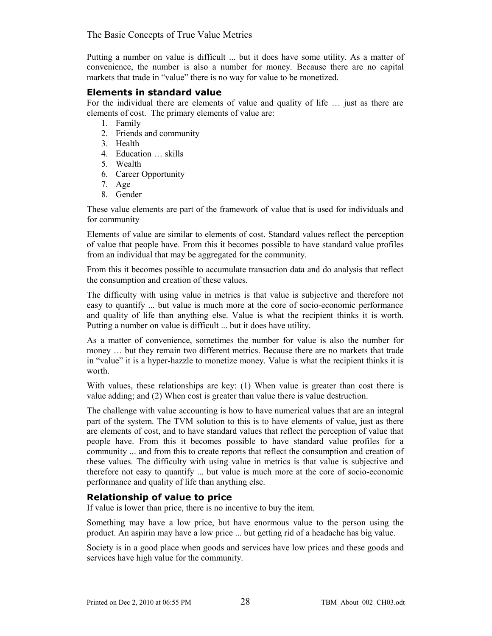The Basic Concepts of True Value Metrics

Putting a number on value is difficult ... but it does have some utility. As a matter of convenience, the number is also a number for money. Because there are no capital markets that trade in "value" there is no way for value to be monetized.

#### **Elements in standard value**

For the individual there are elements of value and quality of life … just as there are elements of cost. The primary elements of value are:

- 1. Family
- 2. Friends and community
- 3. Health
- 4. Education … skills
- 5. Wealth
- 6. Career Opportunity
- 7. Age
- 8. Gender

These value elements are part of the framework of value that is used for individuals and for community

Elements of value are similar to elements of cost. Standard values reflect the perception of value that people have. From this it becomes possible to have standard value profiles from an individual that may be aggregated for the community.

From this it becomes possible to accumulate transaction data and do analysis that reflect the consumption and creation of these values.

The difficulty with using value in metrics is that value is subjective and therefore not easy to quantify ... but value is much more at the core of socio-economic performance and quality of life than anything else. Value is what the recipient thinks it is worth. Putting a number on value is difficult ... but it does have utility.

As a matter of convenience, sometimes the number for value is also the number for money … but they remain two different metrics. Because there are no markets that trade in "value" it is a hyper-hazzle to monetize money. Value is what the recipient thinks it is worth.

With values, these relationships are key: (1) When value is greater than cost there is value adding; and (2) When cost is greater than value there is value destruction.

The challenge with value accounting is how to have numerical values that are an integral part of the system. The TVM solution to this is to have elements of value, just as there are elements of cost, and to have standard values that reflect the perception of value that people have. From this it becomes possible to have standard value profiles for a community ... and from this to create reports that reflect the consumption and creation of these values. The difficulty with using value in metrics is that value is subjective and therefore not easy to quantify ... but value is much more at the core of socio-economic performance and quality of life than anything else.

#### **Relationship of value to price**

If value is lower than price, there is no incentive to buy the item.

Something may have a low price, but have enormous value to the person using the product. An aspirin may have a low price ... but getting rid of a headache has big value.

Society is in a good place when goods and services have low prices and these goods and services have high value for the community.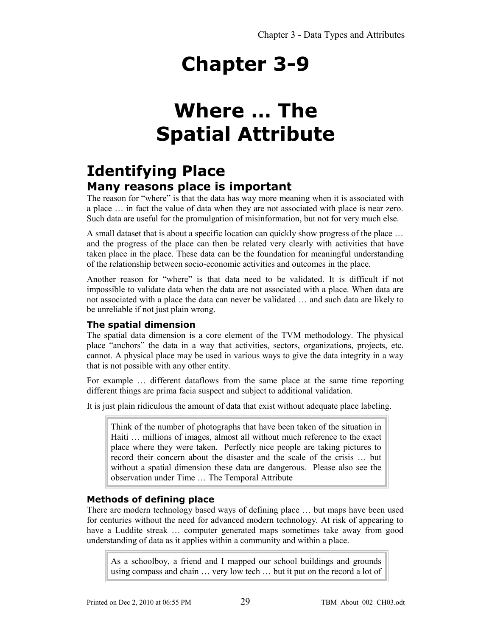### **Where … The Spatial Attribute**

### **Identifying Place Many reasons place is important**

The reason for "where" is that the data has way more meaning when it is associated with a place … in fact the value of data when they are not associated with place is near zero. Such data are useful for the promulgation of misinformation, but not for very much else.

A small dataset that is about a specific location can quickly show progress of the place … and the progress of the place can then be related very clearly with activities that have taken place in the place. These data can be the foundation for meaningful understanding of the relationship between socio-economic activities and outcomes in the place.

Another reason for "where" is that data need to be validated. It is difficult if not impossible to validate data when the data are not associated with a place. When data are not associated with a place the data can never be validated … and such data are likely to be unreliable if not just plain wrong.

#### **The spatial dimension**

The spatial data dimension is a core element of the TVM methodology. The physical place "anchors" the data in a way that activities, sectors, organizations, projects, etc. cannot. A physical place may be used in various ways to give the data integrity in a way that is not possible with any other entity.

For example ... different dataflows from the same place at the same time reporting different things are prima facia suspect and subject to additional validation.

It is just plain ridiculous the amount of data that exist without adequate place labeling.

Think of the number of photographs that have been taken of the situation in Haiti … millions of images, almost all without much reference to the exact place where they were taken. Perfectly nice people are taking pictures to record their concern about the disaster and the scale of the crisis … but without a spatial dimension these data are dangerous. Please also see the observation under Time … The Temporal Attribute

#### **Methods of defining place**

There are modern technology based ways of defining place … but maps have been used for centuries without the need for advanced modern technology. At risk of appearing to have a Luddite streak … computer generated maps sometimes take away from good understanding of data as it applies within a community and within a place.

As a schoolboy, a friend and I mapped our school buildings and grounds using compass and chain … very low tech … but it put on the record a lot of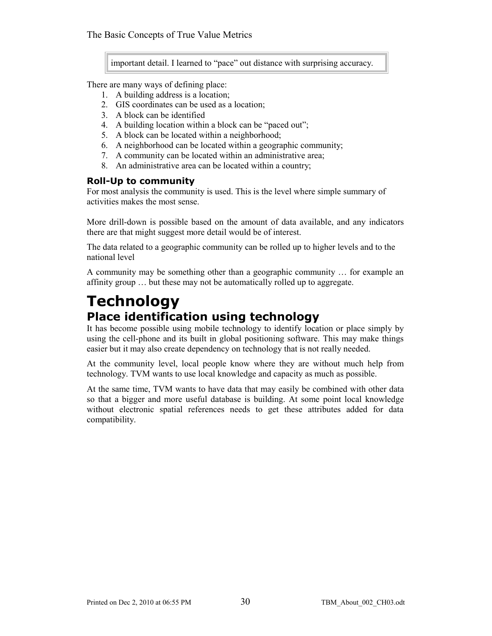important detail. I learned to "pace" out distance with surprising accuracy.

There are many ways of defining place:

- 1. A building address is a location;
- 2. GIS coordinates can be used as a location;
- 3. A block can be identified
- 4. A building location within a block can be "paced out";
- 5. A block can be located within a neighborhood;
- 6. A neighborhood can be located within a geographic community;
- 7. A community can be located within an administrative area;
- 8. An administrative area can be located within a country;

#### **Roll-Up to community**

For most analysis the community is used. This is the level where simple summary of activities makes the most sense.

More drill-down is possible based on the amount of data available, and any indicators there are that might suggest more detail would be of interest.

The data related to a geographic community can be rolled up to higher levels and to the national level

A community may be something other than a geographic community … for example an affinity group … but these may not be automatically rolled up to aggregate.

### **Technology Place identification using technology**

It has become possible using mobile technology to identify location or place simply by using the cell-phone and its built in global positioning software. This may make things easier but it may also create dependency on technology that is not really needed.

At the community level, local people know where they are without much help from technology. TVM wants to use local knowledge and capacity as much as possible.

At the same time, TVM wants to have data that may easily be combined with other data so that a bigger and more useful database is building. At some point local knowledge without electronic spatial references needs to get these attributes added for data compatibility.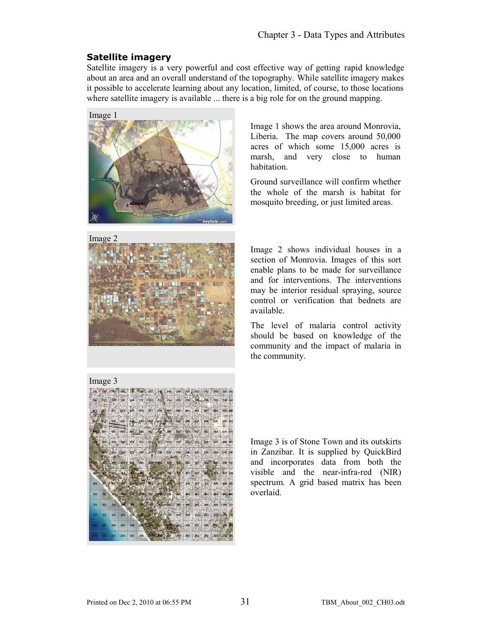#### **Satellite imagery**

Satellite imagery is a very powerful and cost effective way of getting rapid knowledge about an area and an overall understand of the topography. While satellite imagery makes it possible to accelerate learning about any location, limited, of course, to those locations where satellite imagery is available ... there is a big role for on the ground mapping.



Image 1 shows the area around Monrovia, Liberia. The map covers around 50,000 acres of which some 15,000 acres is marsh, and very close to human habitation.

Ground surveillance will confirm whether the whole of the marsh is habitat for mosquito breeding, or just limited areas.



Image 2 shows individual houses in a section of Monrovia. Images of this sort enable plans to be made for surveillance and for interventions. The interventions may be interior residual spraying, source control or verification that bednets are available.

The level of malaria control activity should be based on knowledge of the community and the impact of malaria in the community.



Image 3 is of Stone Town and its outskirts in Zanzibar. It is supplied by QuickBird and incorporates data from both the visible and the near-infra-red (NIR) spectrum. A grid based matrix has been overlaid.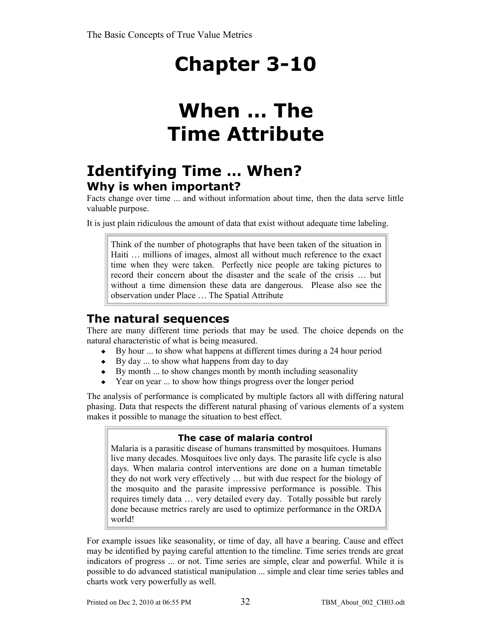### **When … The Time Attribute**

### **Identifying Time … When? Why is when important?**

Facts change over time ... and without information about time, then the data serve little valuable purpose.

It is just plain ridiculous the amount of data that exist without adequate time labeling.

Think of the number of photographs that have been taken of the situation in Haiti … millions of images, almost all without much reference to the exact time when they were taken. Perfectly nice people are taking pictures to record their concern about the disaster and the scale of the crisis … but without a time dimension these data are dangerous. Please also see the observation under Place … The Spatial Attribute

### **The natural sequences**

There are many different time periods that may be used. The choice depends on the natural characteristic of what is being measured.

- $\bullet$  By hour ... to show what happens at different times during a 24 hour period
- $\bullet$  By day ... to show what happens from day to day
- $\bullet$  By month ... to show changes month by month including seasonality
- Year on year ... to show how things progress over the longer period

The analysis of performance is complicated by multiple factors all with differing natural phasing. Data that respects the different natural phasing of various elements of a system makes it possible to manage the situation to best effect.

#### **The case of malaria control**

Malaria is a parasitic disease of humans transmitted by mosquitoes. Humans live many decades. Mosquitoes live only days. The parasite life cycle is also days. When malaria control interventions are done on a human timetable they do not work very effectively … but with due respect for the biology of the mosquito and the parasite impressive performance is possible. This requires timely data … very detailed every day. Totally possible but rarely done because metrics rarely are used to optimize performance in the ORDA world!

For example issues like seasonality, or time of day, all have a bearing. Cause and effect may be identified by paying careful attention to the timeline. Time series trends are great indicators of progress ... or not. Time series are simple, clear and powerful. While it is possible to do advanced statistical manipulation ... simple and clear time series tables and charts work very powerfully as well.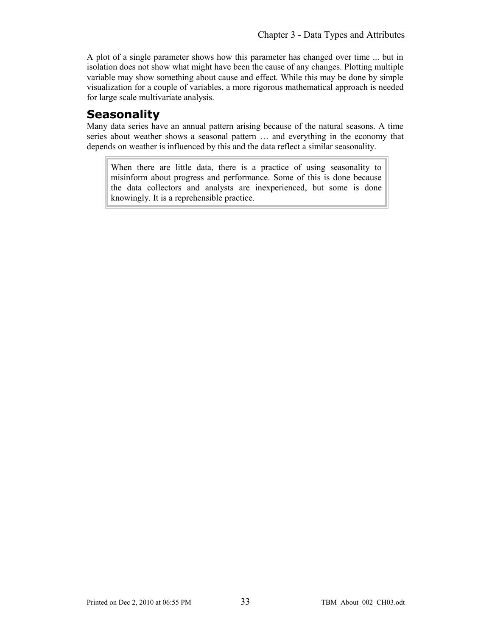A plot of a single parameter shows how this parameter has changed over time ... but in isolation does not show what might have been the cause of any changes. Plotting multiple variable may show something about cause and effect. While this may be done by simple visualization for a couple of variables, a more rigorous mathematical approach is needed for large scale multivariate analysis.

### **Seasonality**

Many data series have an annual pattern arising because of the natural seasons. A time series about weather shows a seasonal pattern … and everything in the economy that depends on weather is influenced by this and the data reflect a similar seasonality.

When there are little data, there is a practice of using seasonality to misinform about progress and performance. Some of this is done because the data collectors and analysts are inexperienced, but some is done knowingly. It is a reprehensible practice.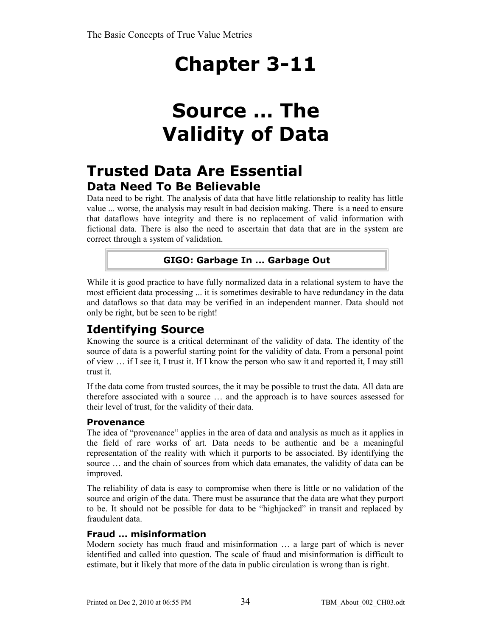## **Source … The Validity of Data**

### **Trusted Data Are Essential Data Need To Be Believable**

Data need to be right. The analysis of data that have little relationship to reality has little value ... worse, the analysis may result in bad decision making. There is a need to ensure that dataflows have integrity and there is no replacement of valid information with fictional data. There is also the need to ascertain that data that are in the system are correct through a system of validation.

#### **GIGO: Garbage In ... Garbage Out**

While it is good practice to have fully normalized data in a relational system to have the most efficient data processing ... it is sometimes desirable to have redundancy in the data and dataflows so that data may be verified in an independent manner. Data should not only be right, but be seen to be right!

### **Identifying Source**

Knowing the source is a critical determinant of the validity of data. The identity of the source of data is a powerful starting point for the validity of data. From a personal point of view … if I see it, I trust it. If I know the person who saw it and reported it, I may still trust it.

If the data come from trusted sources, the it may be possible to trust the data. All data are therefore associated with a source … and the approach is to have sources assessed for their level of trust, for the validity of their data.

#### **Provenance**

The idea of "provenance" applies in the area of data and analysis as much as it applies in the field of rare works of art. Data needs to be authentic and be a meaningful representation of the reality with which it purports to be associated. By identifying the source … and the chain of sources from which data emanates, the validity of data can be improved.

The reliability of data is easy to compromise when there is little or no validation of the source and origin of the data. There must be assurance that the data are what they purport to be. It should not be possible for data to be "highjacked" in transit and replaced by fraudulent data.

#### **Fraud … misinformation**

Modern society has much fraud and misinformation … a large part of which is never identified and called into question. The scale of fraud and misinformation is difficult to estimate, but it likely that more of the data in public circulation is wrong than is right.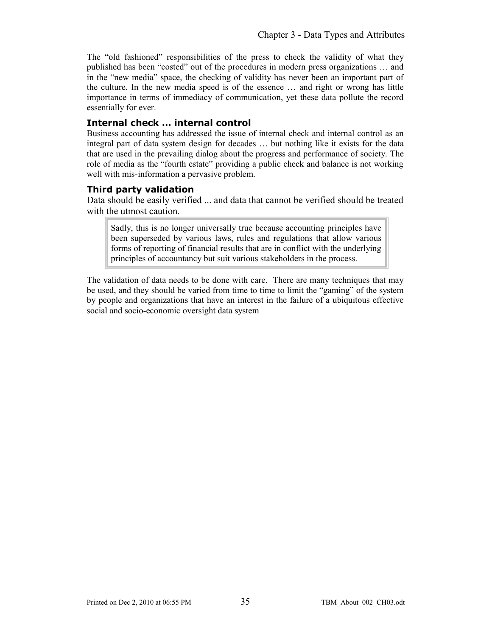The "old fashioned" responsibilities of the press to check the validity of what they published has been "costed" out of the procedures in modern press organizations … and in the "new media" space, the checking of validity has never been an important part of the culture. In the new media speed is of the essence … and right or wrong has little importance in terms of immediacy of communication, yet these data pollute the record essentially for ever.

#### **Internal check … internal control**

Business accounting has addressed the issue of internal check and internal control as an integral part of data system design for decades … but nothing like it exists for the data that are used in the prevailing dialog about the progress and performance of society. The role of media as the "fourth estate" providing a public check and balance is not working well with mis-information a pervasive problem.

#### **Third party validation**

Data should be easily verified ... and data that cannot be verified should be treated with the utmost caution.

Sadly, this is no longer universally true because accounting principles have been superseded by various laws, rules and regulations that allow various forms of reporting of financial results that are in conflict with the underlying principles of accountancy but suit various stakeholders in the process.

The validation of data needs to be done with care. There are many techniques that may be used, and they should be varied from time to time to limit the "gaming" of the system by people and organizations that have an interest in the failure of a ubiquitous effective social and socio-economic oversight data system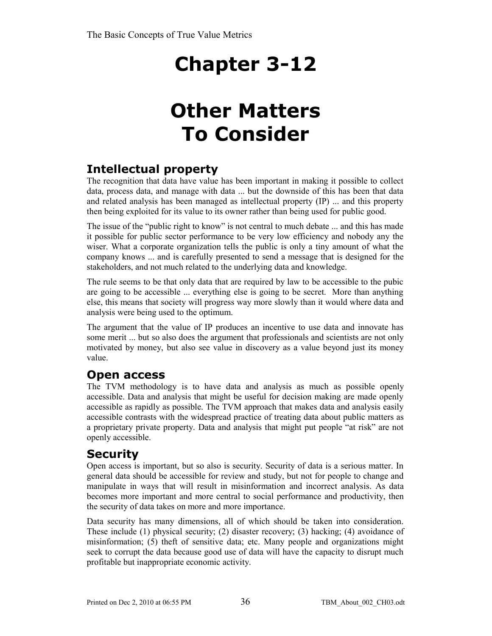## **Other Matters To Consider**

### **Intellectual property**

The recognition that data have value has been important in making it possible to collect data, process data, and manage with data ... but the downside of this has been that data and related analysis has been managed as intellectual property (IP) ... and this property then being exploited for its value to its owner rather than being used for public good.

The issue of the "public right to know" is not central to much debate ... and this has made it possible for public sector performance to be very low efficiency and nobody any the wiser. What a corporate organization tells the public is only a tiny amount of what the company knows ... and is carefully presented to send a message that is designed for the stakeholders, and not much related to the underlying data and knowledge.

The rule seems to be that only data that are required by law to be accessible to the pubic are going to be accessible ... everything else is going to be secret. More than anything else, this means that society will progress way more slowly than it would where data and analysis were being used to the optimum.

The argument that the value of IP produces an incentive to use data and innovate has some merit ... but so also does the argument that professionals and scientists are not only motivated by money, but also see value in discovery as a value beyond just its money value.

### **Open access**

The TVM methodology is to have data and analysis as much as possible openly accessible. Data and analysis that might be useful for decision making are made openly accessible as rapidly as possible. The TVM approach that makes data and analysis easily accessible contrasts with the widespread practice of treating data about public matters as a proprietary private property. Data and analysis that might put people "at risk" are not openly accessible.

### **Security**

Open access is important, but so also is security. Security of data is a serious matter. In general data should be accessible for review and study, but not for people to change and manipulate in ways that will result in misinformation and incorrect analysis. As data becomes more important and more central to social performance and productivity, then the security of data takes on more and more importance.

Data security has many dimensions, all of which should be taken into consideration. These include (1) physical security; (2) disaster recovery; (3) hacking; (4) avoidance of misinformation; (5) theft of sensitive data; etc. Many people and organizations might seek to corrupt the data because good use of data will have the capacity to disrupt much profitable but inappropriate economic activity.